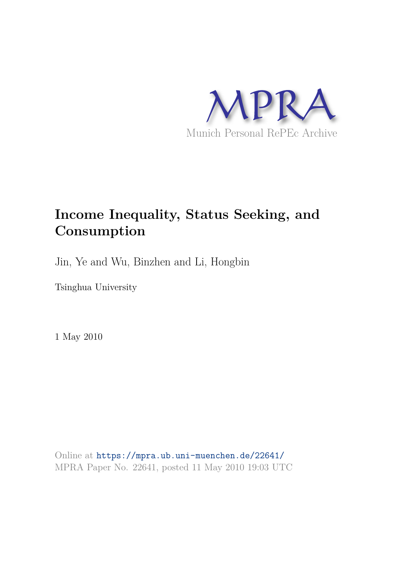

# **Income Inequality, Status Seeking, and Consumption**

Jin, Ye and Wu, Binzhen and Li, Hongbin

Tsinghua University

1 May 2010

Online at https://mpra.ub.uni-muenchen.de/22641/ MPRA Paper No. 22641, posted 11 May 2010 19:03 UTC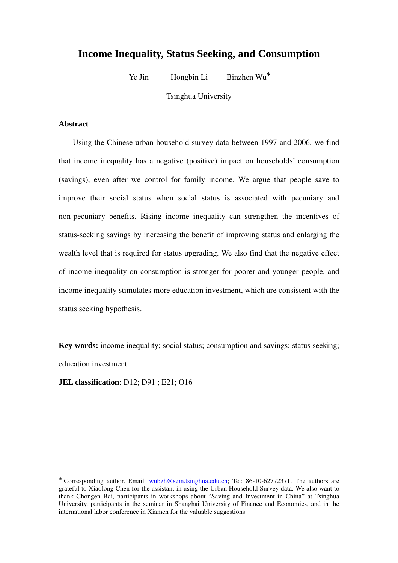## **Income Inequality, Status Seeking, and Consumption**

Ye Jin Hongbin Li Binzhen Wu<sup>∗</sup>

Tsinghua University

## **Abstract**

l

Using the Chinese urban household survey data between 1997 and 2006, we find that income inequality has a negative (positive) impact on households' consumption (savings), even after we control for family income. We argue that people save to improve their social status when social status is associated with pecuniary and non-pecuniary benefits. Rising income inequality can strengthen the incentives of status-seeking savings by increasing the benefit of improving status and enlarging the wealth level that is required for status upgrading. We also find that the negative effect of income inequality on consumption is stronger for poorer and younger people, and income inequality stimulates more education investment, which are consistent with the status seeking hypothesis.

**Key words:** income inequality; social status; consumption and savings; status seeking; education investment

**JEL classification**: D12; D91 ; E21; O16

<sup>∗</sup> Corresponding author. Email: wubzh@sem.tsinghua.edu.cn; Tel: 86-10-62772371. The authors are grateful to Xiaolong Chen for the assistant in using the Urban Household Survey data. We also want to thank Chongen Bai, participants in workshops about "Saving and Investment in China" at Tsinghua University, participants in the seminar in Shanghai University of Finance and Economics, and in the international labor conference in Xiamen for the valuable suggestions.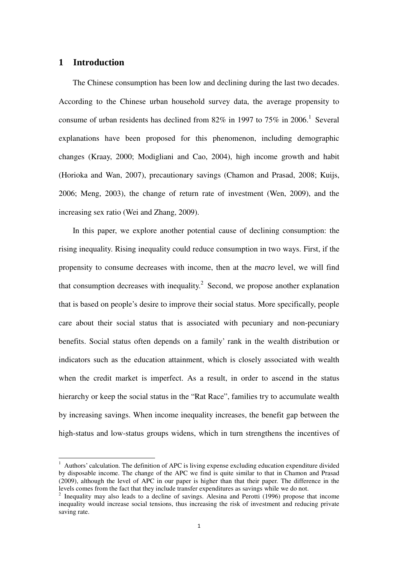## **1 Introduction**

l

The Chinese consumption has been low and declining during the last two decades. According to the Chinese urban household survey data, the average propensity to consume of urban residents has declined from  $82\%$  in 1997 to 75% in 2006.<sup>1</sup> Several explanations have been proposed for this phenomenon, including demographic changes (Kraay, 2000; Modigliani and Cao, 2004), high income growth and habit (Horioka and Wan, 2007), precautionary savings (Chamon and Prasad, 2008; Kuijs, 2006; Meng, 2003), the change of return rate of investment (Wen, 2009), and the increasing sex ratio (Wei and Zhang, 2009).

In this paper, we explore another potential cause of declining consumption: the rising inequality. Rising inequality could reduce consumption in two ways. First, if the propensity to consume decreases with income, then at the *macro* level, we will find that consumption decreases with inequality.<sup>2</sup> Second, we propose another explanation that is based on people's desire to improve their social status. More specifically, people care about their social status that is associated with pecuniary and non-pecuniary benefits. Social status often depends on a family' rank in the wealth distribution or indicators such as the education attainment, which is closely associated with wealth when the credit market is imperfect. As a result, in order to ascend in the status hierarchy or keep the social status in the "Rat Race", families try to accumulate wealth by increasing savings. When income inequality increases, the benefit gap between the high-status and low-status groups widens, which in turn strengthens the incentives of

<sup>&</sup>lt;sup>1</sup> Authors' calculation. The definition of APC is living expense excluding education expenditure divided by disposable income. The change of the APC we find is quite similar to that in Chamon and Prasad (2009), although the level of APC in our paper is higher than that their paper. The difference in the levels comes from the fact that they include transfer expenditures as savings while we do not.

<sup>&</sup>lt;sup>2</sup> Inequality may also leads to a decline of savings. Alesina and Perotti (1996) propose that income inequality would increase social tensions, thus increasing the risk of investment and reducing private saving rate.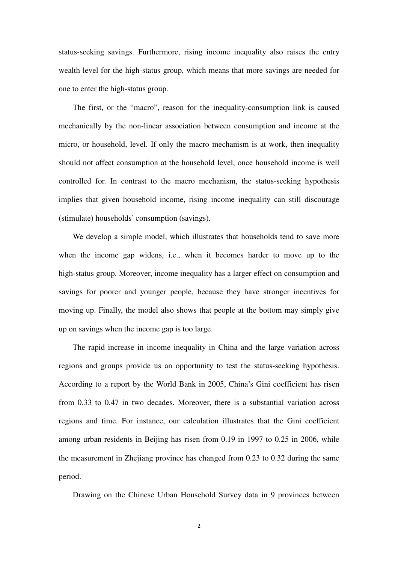status-seeking savings. Furthermore, rising income inequality also raises the entry wealth level for the high-status group, which means that more savings are needed for one to enter the high-status group.

The first, or the "macro", reason for the inequality-consumption link is caused mechanically by the non-linear association between consumption and income at the micro, or household, level. If only the macro mechanism is at work, then inequality should not affect consumption at the household level, once household income is well controlled for. In contrast to the macro mechanism, the status-seeking hypothesis implies that given household income, rising income inequality can still discourage (stimulate) households' consumption (savings).

We develop a simple model, which illustrates that households tend to save more when the income gap widens, i.e., when it becomes harder to move up to the high-status group. Moreover, income inequality has a larger effect on consumption and savings for poorer and younger people, because they have stronger incentives for moving up. Finally, the model also shows that people at the bottom may simply give up on savings when the income gap is too large.

The rapid increase in income inequality in China and the large variation across regions and groups provide us an opportunity to test the status-seeking hypothesis. According to a report by the World Bank in 2005, China's Gini coefficient has risen from 0.33 to 0.47 in two decades. Moreover, there is a substantial variation across regions and time. For instance, our calculation illustrates that the Gini coefficient among urban residents in Beijing has risen from 0.19 in 1997 to 0.25 in 2006, while the measurement in Zhejiang province has changed from 0.23 to 0.32 during the same period.

Drawing on the Chinese Urban Household Survey data in 9 provinces between

 $\overline{2}$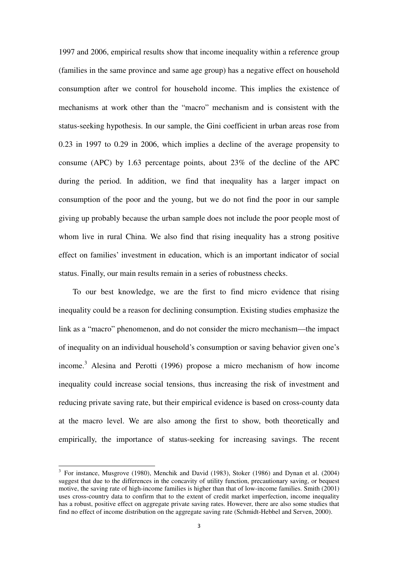1997 and 2006, empirical results show that income inequality within a reference group (families in the same province and same age group) has a negative effect on household consumption after we control for household income. This implies the existence of mechanisms at work other than the "macro" mechanism and is consistent with the status-seeking hypothesis. In our sample, the Gini coefficient in urban areas rose from 0.23 in 1997 to 0.29 in 2006, which implies a decline of the average propensity to consume (APC) by 1.63 percentage points, about 23% of the decline of the APC during the period. In addition, we find that inequality has a larger impact on consumption of the poor and the young, but we do not find the poor in our sample giving up probably because the urban sample does not include the poor people most of whom live in rural China. We also find that rising inequality has a strong positive effect on families' investment in education, which is an important indicator of social status. Finally, our main results remain in a series of robustness checks.

To our best knowledge, we are the first to find micro evidence that rising inequality could be a reason for declining consumption. Existing studies emphasize the link as a "macro" phenomenon, and do not consider the micro mechanism—the impact of inequality on an individual household's consumption or saving behavior given one's income.<sup>3</sup> Alesina and Perotti (1996) propose a micro mechanism of how income inequality could increase social tensions, thus increasing the risk of investment and reducing private saving rate, but their empirical evidence is based on cross-county data at the macro level. We are also among the first to show, both theoretically and empirically, the importance of status-seeking for increasing savings. The recent

l

<sup>&</sup>lt;sup>3</sup> For instance, Musgrove (1980), Menchik and David (1983), Stoker (1986) and Dynan et al. (2004) suggest that due to the differences in the concavity of utility function, precautionary saving, or bequest motive, the saving rate of high-income families is higher than that of low-income families. Smith (2001) uses cross-country data to confirm that to the extent of credit market imperfection, income inequality has a robust, positive effect on aggregate private saving rates. However, there are also some studies that find no effect of income distribution on the aggregate saving rate (Schmidt-Hebbel and Serven, 2000).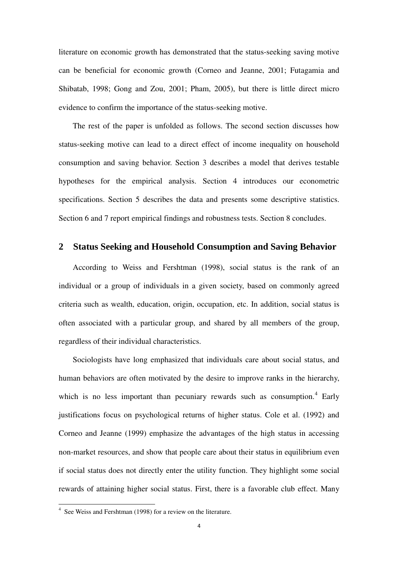literature on economic growth has demonstrated that the status-seeking saving motive can be beneficial for economic growth (Corneo and Jeanne, 2001; Futagamia and Shibatab, 1998; Gong and Zou, 2001; Pham, 2005), but there is little direct micro evidence to confirm the importance of the status-seeking motive.

The rest of the paper is unfolded as follows. The second section discusses how status-seeking motive can lead to a direct effect of income inequality on household consumption and saving behavior. Section 3 describes a model that derives testable hypotheses for the empirical analysis. Section 4 introduces our econometric specifications. Section 5 describes the data and presents some descriptive statistics. Section 6 and 7 report empirical findings and robustness tests. Section 8 concludes.

## **2 Status Seeking and Household Consumption and Saving Behavior**

According to Weiss and Fershtman (1998), social status is the rank of an individual or a group of individuals in a given society, based on commonly agreed criteria such as wealth, education, origin, occupation, etc. In addition, social status is often associated with a particular group, and shared by all members of the group, regardless of their individual characteristics.

Sociologists have long emphasized that individuals care about social status, and human behaviors are often motivated by the desire to improve ranks in the hierarchy, which is no less important than pecuniary rewards such as consumption.<sup>4</sup> Early justifications focus on psychological returns of higher status. Cole et al. (1992) and Corneo and Jeanne (1999) emphasize the advantages of the high status in accessing non-market resources, and show that people care about their status in equilibrium even if social status does not directly enter the utility function. They highlight some social rewards of attaining higher social status. First, there is a favorable club effect. Many

 4 See Weiss and Fershtman (1998) for a review on the literature.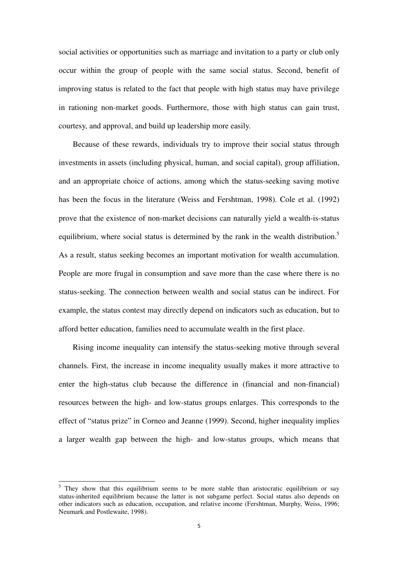social activities or opportunities such as marriage and invitation to a party or club only occur within the group of people with the same social status. Second, benefit of improving status is related to the fact that people with high status may have privilege in rationing non-market goods. Furthermore, those with high status can gain trust, courtesy, and approval, and build up leadership more easily.

Because of these rewards, individuals try to improve their social status through investments in assets (including physical, human, and social capital), group affiliation, and an appropriate choice of actions, among which the status-seeking saving motive has been the focus in the literature (Weiss and Fershtman, 1998). Cole et al. (1992) prove that the existence of non-market decisions can naturally yield a wealth-is-status equilibrium, where social status is determined by the rank in the wealth distribution.<sup>5</sup> As a result, status seeking becomes an important motivation for wealth accumulation. People are more frugal in consumption and save more than the case where there is no status-seeking. The connection between wealth and social status can be indirect. For example, the status contest may directly depend on indicators such as education, but to afford better education, families need to accumulate wealth in the first place.

Rising income inequality can intensify the status-seeking motive through several channels. First, the increase in income inequality usually makes it more attractive to enter the high-status club because the difference in (financial and non-financial) resources between the high- and low-status groups enlarges. This corresponds to the effect of "status prize" in Corneo and Jeanne (1999). Second, higher inequality implies a larger wealth gap between the high- and low-status groups, which means that

l

<sup>&</sup>lt;sup>5</sup> They show that this equilibrium seems to be more stable than aristocratic equilibrium or say status-inherited equilibrium because the latter is not subgame perfect. Social status also depends on other indicators such as education, occupation, and relative income (Fershtman, Murphy, Weiss, 1996; Neumark and Postlewaite, 1998).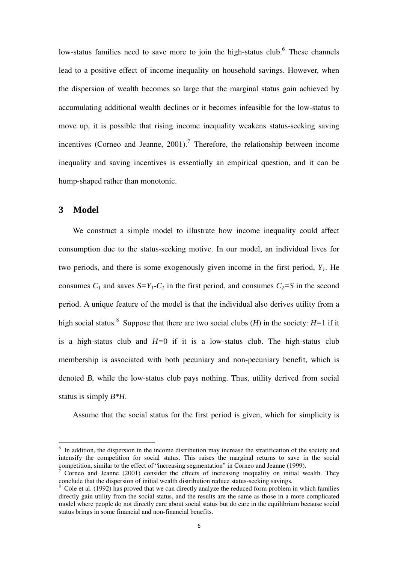low-status families need to save more to join the high-status club.<sup>6</sup> These channels lead to a positive effect of income inequality on household savings. However, when the dispersion of wealth becomes so large that the marginal status gain achieved by accumulating additional wealth declines or it becomes infeasible for the low-status to move up, it is possible that rising income inequality weakens status-seeking saving incentives (Corneo and Jeanne,  $2001$ ).<sup>7</sup> Therefore, the relationship between income inequality and saving incentives is essentially an empirical question, and it can be hump-shaped rather than monotonic.

## **3 Model**

l

We construct a simple model to illustrate how income inequality could affect consumption due to the status-seeking motive. In our model, an individual lives for two periods, and there is some exogenously given income in the first period, *Y1*. He consumes  $C_1$  and saves  $S=Y_1-C_1$  in the first period, and consumes  $C_2 = S$  in the second period. A unique feature of the model is that the individual also derives utility from a high social status.<sup>8</sup> Suppose that there are two social clubs (*H*) in the society: *H=*1 if it is a high-status club and *H=*0 if it is a low-status club. The high-status club membership is associated with both pecuniary and non-pecuniary benefit, which is denoted *B*, while the low-status club pays nothing. Thus, utility derived from social status is simply *B\*H*.

Assume that the social status for the first period is given, which for simplicity is

<sup>&</sup>lt;sup>6</sup> In addition, the dispersion in the income distribution may increase the stratification of the society and intensify the competition for social status. This raises the marginal returns to save in the social competition, similar to the effect of "increasing segmentation" in Corneo and Jeanne (1999).<br><sup>7</sup> Corneo and Jeanne (2001) consider the effects of increasing inequality on initial ma

Corneo and Jeanne (2001) consider the effects of increasing inequality on initial wealth. They conclude that the dispersion of initial wealth distribution reduce status-seeking savings.

<sup>&</sup>lt;sup>8</sup> Cole et al. (1992) has proved that we can directly analyze the reduced form problem in which families directly gain utility from the social status, and the results are the same as those in a more complicated model where people do not directly care about social status but do care in the equilibrium because social status brings in some financial and non-financial benefits.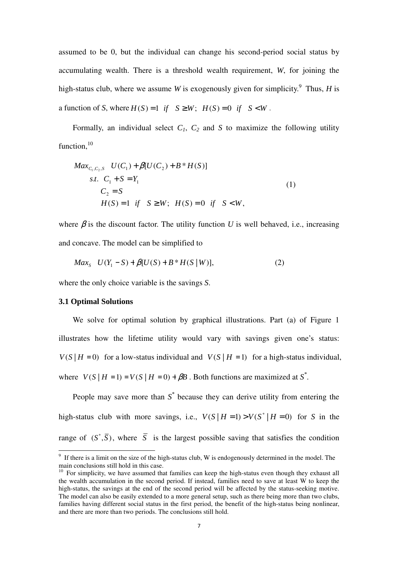assumed to be 0, but the individual can change his second-period social status by accumulating wealth. There is a threshold wealth requirement, *W*, for joining the high-status club, where we assume *W* is exogenously given for simplicity.<sup>9</sup> Thus, *H* is a function of *S*, where  $H(S) = 1$  *if*  $S \geq W$ ;  $H(S) = 0$  *if*  $S \leq W$ .

Formally, an individual select  $C_1$ ,  $C_2$  and  $S$  to maximize the following utility function, $^{10}$ 

$$
Max_{C_1, C_2, S} U(C_1) + \beta [U(C_2) + B * H(S)]
$$
  
s.t.  $C_1 + S = Y_1$   
 $C_2 = S$   
 $H(S) = 1$  if  $S \ge W$ ;  $H(S) = 0$  if  $S < W$ , (1)

where  $\beta$  is the discount factor. The utility function *U* is well behaved, i.e., increasing and concave. The model can be simplified to

$$
Max_{S} \quad U(Y_{1} - S) + \beta [U(S) + B^* H(S \mid W)], \tag{2}
$$

where the only choice variable is the savings *S*.

#### **3.1 Optimal Solutions**

We solve for optimal solution by graphical illustrations. Part (a) of Figure 1 illustrates how the lifetime utility would vary with savings given one's status:  $V(S | H = 0)$  for a low-status individual and  $V(S | H = 1)$  for a high-status individual, where  $V(S \mid H = 1) = V(S \mid H = 0) + \beta B$ . Both functions are maximized at  $S^*$ .

People may save more than  $S^*$  because they can derive utility from entering the high-status club with more savings, i.e.,  $V(S | H = 1) > V(S^* | H = 0)$  for *S* in the range of  $(S^*, \overline{S})$ , where  $\overline{S}$  is the largest possible saving that satisfies the condition

<sup>&</sup>lt;sup>9</sup> If there is a limit on the size of the high-status club, W is endogenously determined in the model. The main conclusions still hold in this case.

 $10$  For simplicity, we have assumed that families can keep the high-status even though they exhaust all the wealth accumulation in the second period. If instead, families need to save at least W to keep the high-status, the savings at the end of the second period will be affected by the status-seeking motive. The model can also be easily extended to a more general setup, such as there being more than two clubs, families having different social status in the first period, the benefit of the high-status being nonlinear, and there are more than two periods. The conclusions still hold.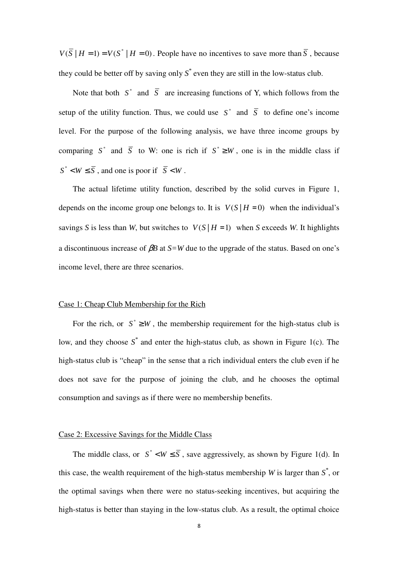$V(\overline{S} | H = 1) = V(S^* | H = 0)$ . People have no incentives to save more than  $\overline{S}$ , because they could be better off by saving only  $S^*$  even they are still in the low-status club.

Note that both  $S^*$  and  $\overline{S}$  are increasing functions of Y, which follows from the setup of the utility function. Thus, we could use  $S^*$  and  $\overline{S}$  to define one's income level. For the purpose of the following analysis, we have three income groups by comparing  $S^*$  and  $\overline{S}$  to W: one is rich if  $S^* \geq W$ , one is in the middle class if  $S^*$  < *W*  $\leq$   $\overline{S}$ , and one is poor if  $\overline{S}$  < *W*.

The actual lifetime utility function, described by the solid curves in Figure 1, depends on the income group one belongs to. It is  $V(S | H = 0)$  when the individual's savings *S* is less than *W*, but switches to  $V(S | H = 1)$  when *S* exceeds *W*. It highlights a discontinuous increase of β*B* at *S=W* due to the upgrade of the status. Based on one's income level, there are three scenarios.

### Case 1: Cheap Club Membership for the Rich

For the rich, or  $S^* \geq W$ , the membership requirement for the high-status club is low, and they choose  $S^*$  and enter the high-status club, as shown in Figure 1(c). The high-status club is "cheap" in the sense that a rich individual enters the club even if he does not save for the purpose of joining the club, and he chooses the optimal consumption and savings as if there were no membership benefits.

#### Case 2: Excessive Savings for the Middle Class

The middle class, or  $S^* < W \leq \overline{S}$ , save aggressively, as shown by Figure 1(d). In this case, the wealth requirement of the high-status membership *W* is larger than  $S^*$ , or the optimal savings when there were no status-seeking incentives, but acquiring the high-status is better than staying in the low-status club. As a result, the optimal choice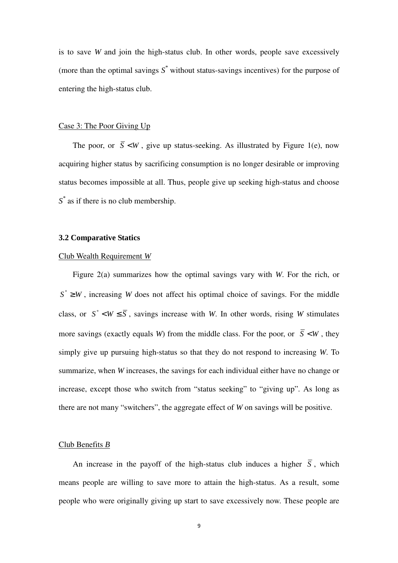is to save *W* and join the high-status club. In other words, people save excessively (more than the optimal savings *S \** without status-savings incentives) for the purpose of entering the high-status club.

#### Case 3: The Poor Giving Up

The poor, or  $\overline{S}$  <*W*, give up status-seeking. As illustrated by Figure 1(e), now acquiring higher status by sacrificing consumption is no longer desirable or improving status becomes impossible at all. Thus, people give up seeking high-status and choose *S \** as if there is no club membership.

## **3.2 Comparative Statics**

#### Club Wealth Requirement *W*

Figure 2(a) summarizes how the optimal savings vary with *W*. For the rich, or  $S^* \geq W$ , increasing *W* does not affect his optimal choice of savings. For the middle class, or  $S^* < W \leq \overline{S}$ , savings increase with *W*. In other words, rising *W* stimulates more savings (exactly equals *W*) from the middle class. For the poor, or  $\overline{S}$  < *W*, they simply give up pursuing high-status so that they do not respond to increasing *W*. To summarize, when *W* increases, the savings for each individual either have no change or increase, except those who switch from "status seeking" to "giving up". As long as there are not many "switchers", the aggregate effect of *W* on savings will be positive.

#### Club Benefits *B*

An increase in the payoff of the high-status club induces a higher  $\overline{S}$ , which means people are willing to save more to attain the high-status. As a result, some people who were originally giving up start to save excessively now. These people are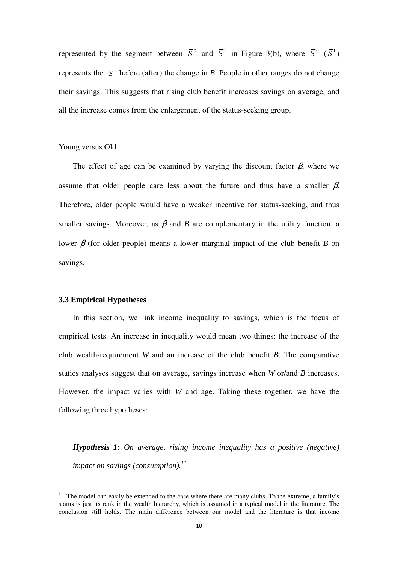represented by the segment between  $\overline{S}^0$  and  $\overline{S}^1$  in Figure 3(b), where  $\overline{S}^0$  ( $\overline{S}^1$ ) represents the  $\overline{S}$  before (after) the change in *B*. People in other ranges do not change their savings. This suggests that rising club benefit increases savings on average, and all the increase comes from the enlargement of the status-seeking group.

#### Young versus Old

The effect of age can be examined by varying the discount factor  $\beta$ , where we assume that older people care less about the future and thus have a smaller  $\beta$ . Therefore, older people would have a weaker incentive for status-seeking, and thus smaller savings. Moreover, as  $\beta$  and *B* are complementary in the utility function, a lower β (for older people) means a lower marginal impact of the club benefit *B* on savings.

## **3.3 Empirical Hypotheses**

l

In this section, we link income inequality to savings, which is the focus of empirical tests. An increase in inequality would mean two things: the increase of the club wealth-requirement *W* and an increase of the club benefit *B*. The comparative statics analyses suggest that on average, savings increase when *W* or/and *B* increases. However, the impact varies with *W* and age. Taking these together, we have the following three hypotheses:

*Hypothesis 1: On average, rising income inequality has a positive (negative) impact on savings (consumption).<sup>11</sup>* 

<sup>&</sup>lt;sup>11</sup> The model can easily be extended to the case where there are many clubs. To the extreme, a family's status is just its rank in the wealth hierarchy, which is assumed in a typical model in the literature. The conclusion still holds. The main difference between our model and the literature is that income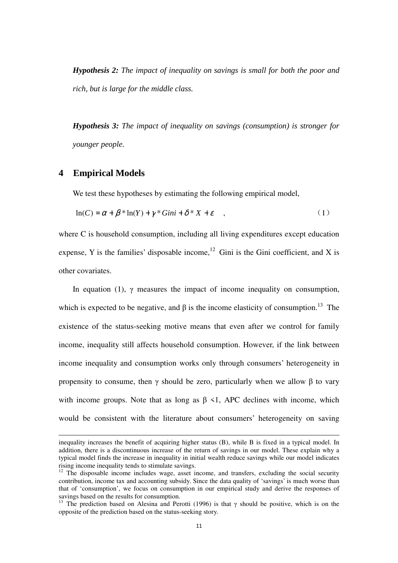*Hypothesis 2: The impact of inequality on savings is small for both the poor and rich, but is large for the middle class.* 

*Hypothesis 3: The impact of inequality on savings (consumption) is stronger for younger people.* 

## **4 Empirical Models**

l

We test these hypotheses by estimating the following empirical model,

$$
\ln(C) = \alpha + \beta * \ln(Y) + \gamma * Gini + \delta * X + \varepsilon \quad , \tag{1}
$$

where C is household consumption, including all living expenditures except education expense, Y is the families' disposable income,<sup>12</sup> Gini is the Gini coefficient, and X is other covariates.

In equation (1),  $\gamma$  measures the impact of income inequality on consumption, which is expected to be negative, and  $\beta$  is the income elasticity of consumption.<sup>13</sup> The existence of the status-seeking motive means that even after we control for family income, inequality still affects household consumption. However, if the link between income inequality and consumption works only through consumers' heterogeneity in propensity to consume, then  $\gamma$  should be zero, particularly when we allow  $\beta$  to vary with income groups. Note that as long as  $\beta$  <1, APC declines with income, which would be consistent with the literature about consumers' heterogeneity on saving

inequality increases the benefit of acquiring higher status (B), while B is fixed in a typical model. In addition, there is a discontinuous increase of the return of savings in our model. These explain why a typical model finds the increase in inequality in initial wealth reduce savings while our model indicates rising income inequality tends to stimulate savings.

 $12$  The disposable income includes wage, asset income, and transfers, excluding the social security contribution, income tax and accounting subsidy. Since the data quality of 'savings' is much worse than that of 'consumption', we focus on consumption in our empirical study and derive the responses of savings based on the results for consumption.

<sup>&</sup>lt;sup>13</sup> The prediction based on Alesina and Perotti (1996) is that  $\gamma$  should be positive, which is on the opposite of the prediction based on the status-seeking story.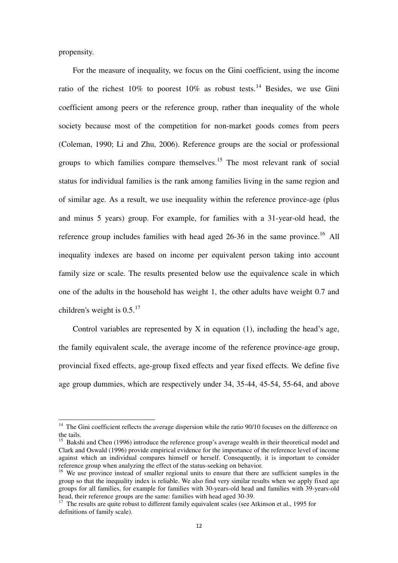propensity.

l

For the measure of inequality, we focus on the Gini coefficient, using the income ratio of the richest  $10\%$  to poorest  $10\%$  as robust tests.<sup>14</sup> Besides, we use Gini coefficient among peers or the reference group, rather than inequality of the whole society because most of the competition for non-market goods comes from peers (Coleman, 1990; Li and Zhu, 2006). Reference groups are the social or professional groups to which families compare themselves.<sup>15</sup> The most relevant rank of social status for individual families is the rank among families living in the same region and of similar age. As a result, we use inequality within the reference province-age (plus and minus 5 years) group. For example, for families with a 31-year-old head, the reference group includes families with head aged  $26-36$  in the same province.<sup>16</sup> All inequality indexes are based on income per equivalent person taking into account family size or scale. The results presented below use the equivalence scale in which one of the adults in the household has weight 1, the other adults have weight 0.7 and children's weight is  $0.5$ .<sup>17</sup>

Control variables are represented by  $X$  in equation (1), including the head's age, the family equivalent scale, the average income of the reference province-age group, provincial fixed effects, age-group fixed effects and year fixed effects. We define five age group dummies, which are respectively under 34, 35-44, 45-54, 55-64, and above

 $14$  The Gini coefficient reflects the average dispersion while the ratio 90/10 focuses on the difference on the tails.

<sup>&</sup>lt;sup>15</sup> Bakshi and Chen (1996) introduce the reference group's average wealth in their theoretical model and Clark and Oswald (1996) provide empirical evidence for the importance of the reference level of income against which an individual compares himself or herself. Consequently, it is important to consider reference group when analyzing the effect of the status-seeking on behavior.

<sup>&</sup>lt;sup>16</sup> We use province instead of smaller regional units to ensure that there are sufficient samples in the group so that the inequality index is reliable. We also find very similar results when we apply fixed age groups for all families, for example for families with 30-years-old head and families with 39-years-old head, their reference groups are the same: families with head aged 30-39.

<sup>&</sup>lt;sup>17</sup> The results are quite robust to different family equivalent scales (see Atkinson et al., 1995 for definitions of family scale).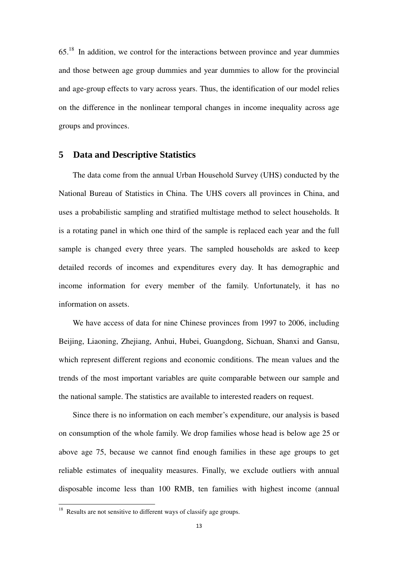65.<sup>18</sup> In addition, we control for the interactions between province and year dummies and those between age group dummies and year dummies to allow for the provincial and age-group effects to vary across years. Thus, the identification of our model relies on the difference in the nonlinear temporal changes in income inequality across age groups and provinces.

## **5 Data and Descriptive Statistics**

The data come from the annual Urban Household Survey (UHS) conducted by the National Bureau of Statistics in China. The UHS covers all provinces in China, and uses a probabilistic sampling and stratified multistage method to select households. It is a rotating panel in which one third of the sample is replaced each year and the full sample is changed every three years. The sampled households are asked to keep detailed records of incomes and expenditures every day. It has demographic and income information for every member of the family. Unfortunately, it has no information on assets.

We have access of data for nine Chinese provinces from 1997 to 2006, including Beijing, Liaoning, Zhejiang, Anhui, Hubei, Guangdong, Sichuan, Shanxi and Gansu, which represent different regions and economic conditions. The mean values and the trends of the most important variables are quite comparable between our sample and the national sample. The statistics are available to interested readers on request.

Since there is no information on each member's expenditure, our analysis is based on consumption of the whole family. We drop families whose head is below age 25 or above age 75, because we cannot find enough families in these age groups to get reliable estimates of inequality measures. Finally, we exclude outliers with annual disposable income less than 100 RMB, ten families with highest income (annual

l

 $18$  Results are not sensitive to different ways of classify age groups.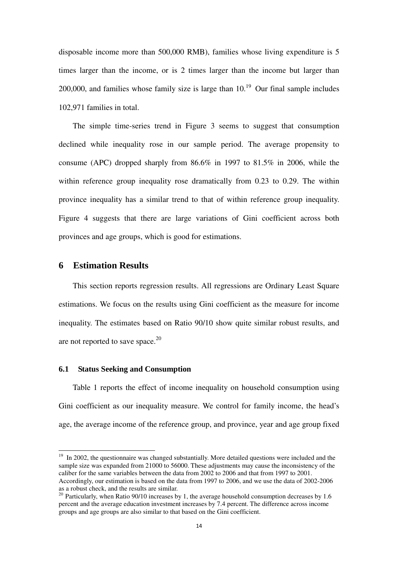disposable income more than 500,000 RMB), families whose living expenditure is 5 times larger than the income, or is 2 times larger than the income but larger than 200,000, and families whose family size is large than  $10<sup>19</sup>$  Our final sample includes 102,971 families in total.

The simple time-series trend in Figure 3 seems to suggest that consumption declined while inequality rose in our sample period. The average propensity to consume (APC) dropped sharply from 86.6% in 1997 to 81.5% in 2006, while the within reference group inequality rose dramatically from 0.23 to 0.29. The within province inequality has a similar trend to that of within reference group inequality. Figure 4 suggests that there are large variations of Gini coefficient across both provinces and age groups, which is good for estimations.

## **6 Estimation Results**

l

This section reports regression results. All regressions are Ordinary Least Square estimations. We focus on the results using Gini coefficient as the measure for income inequality. The estimates based on Ratio 90/10 show quite similar robust results, and are not reported to save space. $^{20}$ 

#### **6.1 Status Seeking and Consumption**

Table 1 reports the effect of income inequality on household consumption using Gini coefficient as our inequality measure. We control for family income, the head's age, the average income of the reference group, and province, year and age group fixed

<sup>&</sup>lt;sup>19</sup> In 2002, the questionnaire was changed substantially. More detailed questions were included and the sample size was expanded from 21000 to 56000. These adjustments may cause the inconsistency of the caliber for the same variables between the data from 2002 to 2006 and that from 1997 to 2001. Accordingly, our estimation is based on the data from 1997 to 2006, and we use the data of 2002-2006 as a robust check, and the results are similar.

<sup>&</sup>lt;sup>20</sup> Particularly, when Ratio 90/10 increases by 1, the average household consumption decreases by 1.6 percent and the average education investment increases by 7.4 percent. The difference across income groups and age groups are also similar to that based on the Gini coefficient.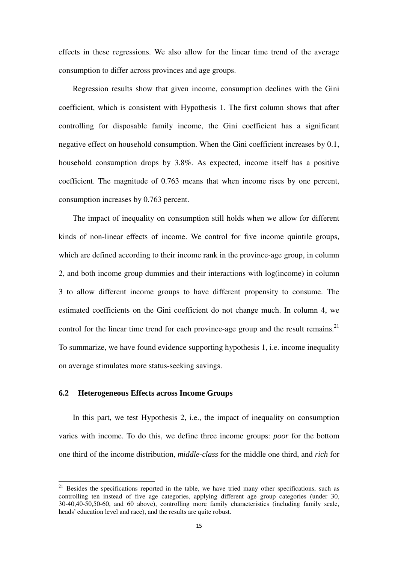effects in these regressions. We also allow for the linear time trend of the average consumption to differ across provinces and age groups.

Regression results show that given income, consumption declines with the Gini coefficient, which is consistent with Hypothesis 1. The first column shows that after controlling for disposable family income, the Gini coefficient has a significant negative effect on household consumption. When the Gini coefficient increases by 0.1, household consumption drops by 3.8%. As expected, income itself has a positive coefficient. The magnitude of 0.763 means that when income rises by one percent, consumption increases by 0.763 percent.

The impact of inequality on consumption still holds when we allow for different kinds of non-linear effects of income. We control for five income quintile groups, which are defined according to their income rank in the province-age group, in column 2, and both income group dummies and their interactions with log(income) in column 3 to allow different income groups to have different propensity to consume. The estimated coefficients on the Gini coefficient do not change much. In column 4, we control for the linear time trend for each province-age group and the result remains.<sup>21</sup> To summarize, we have found evidence supporting hypothesis 1, i.e. income inequality on average stimulates more status-seeking savings.

## **6.2 Heterogeneous Effects across Income Groups**

l

In this part, we test Hypothesis 2, i.e., the impact of inequality on consumption varies with income. To do this, we define three income groups: *poor* for the bottom one third of the income distribution, *middle-class* for the middle one third, and *rich* for

<sup>&</sup>lt;sup>21</sup> Besides the specifications reported in the table, we have tried many other specifications, such as controlling ten instead of five age categories, applying different age group categories (under 30, 30-40,40-50,50-60, and 60 above), controlling more family characteristics (including family scale, heads' education level and race), and the results are quite robust.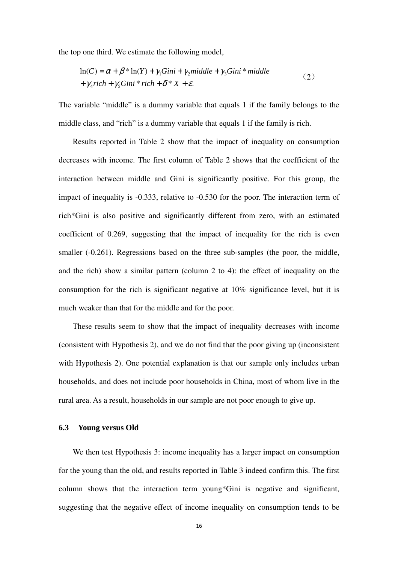the top one third. We estimate the following model,

$$
\ln(C) = \alpha + \beta * \ln(Y) + \gamma_1 Gini + \gamma_2 middle + \gamma_3 Gini * middle
$$
  
+  $\gamma_4 rich + \gamma_5 Gini * rich + \delta * X + \varepsilon$ . (2)

The variable "middle" is a dummy variable that equals 1 if the family belongs to the middle class, and "rich" is a dummy variable that equals 1 if the family is rich.

Results reported in Table 2 show that the impact of inequality on consumption decreases with income. The first column of Table 2 shows that the coefficient of the interaction between middle and Gini is significantly positive. For this group, the impact of inequality is -0.333, relative to -0.530 for the poor. The interaction term of rich\*Gini is also positive and significantly different from zero, with an estimated coefficient of 0.269, suggesting that the impact of inequality for the rich is even smaller (-0.261). Regressions based on the three sub-samples (the poor, the middle, and the rich) show a similar pattern (column 2 to 4): the effect of inequality on the consumption for the rich is significant negative at 10% significance level, but it is much weaker than that for the middle and for the poor.

These results seem to show that the impact of inequality decreases with income (consistent with Hypothesis 2), and we do not find that the poor giving up (inconsistent with Hypothesis 2). One potential explanation is that our sample only includes urban households, and does not include poor households in China, most of whom live in the rural area. As a result, households in our sample are not poor enough to give up.

#### **6.3 Young versus Old**

We then test Hypothesis 3: income inequality has a larger impact on consumption for the young than the old, and results reported in Table 3 indeed confirm this. The first column shows that the interaction term young\*Gini is negative and significant, suggesting that the negative effect of income inequality on consumption tends to be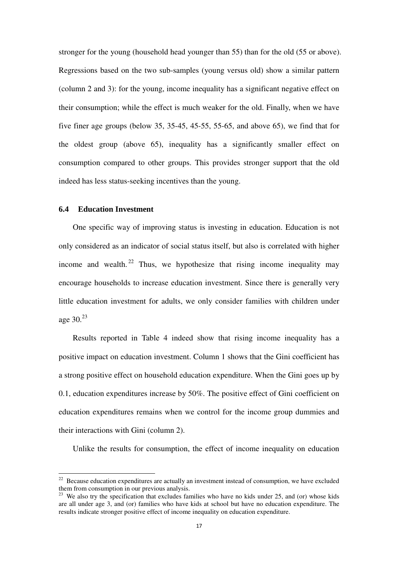stronger for the young (household head younger than 55) than for the old (55 or above). Regressions based on the two sub-samples (young versus old) show a similar pattern (column 2 and 3): for the young, income inequality has a significant negative effect on their consumption; while the effect is much weaker for the old. Finally, when we have five finer age groups (below 35, 35-45, 45-55, 55-65, and above 65), we find that for the oldest group (above 65), inequality has a significantly smaller effect on consumption compared to other groups. This provides stronger support that the old indeed has less status-seeking incentives than the young.

## **6.4 Education Investment**

 $\overline{a}$ 

One specific way of improving status is investing in education. Education is not only considered as an indicator of social status itself, but also is correlated with higher income and wealth. <sup>22</sup> Thus, we hypothesize that rising income inequality may encourage households to increase education investment. Since there is generally very little education investment for adults, we only consider families with children under age 30.<sup>23</sup>

Results reported in Table 4 indeed show that rising income inequality has a positive impact on education investment. Column 1 shows that the Gini coefficient has a strong positive effect on household education expenditure. When the Gini goes up by 0.1, education expenditures increase by 50%. The positive effect of Gini coefficient on education expenditures remains when we control for the income group dummies and their interactions with Gini (column 2).

Unlike the results for consumption, the effect of income inequality on education

 $22$  Because education expenditures are actually an investment instead of consumption, we have excluded them from consumption in our previous analysis.

 $^{23}$  We also try the specification that excludes families who have no kids under 25, and (or) whose kids are all under age 3, and (or) families who have kids at school but have no education expenditure. The results indicate stronger positive effect of income inequality on education expenditure.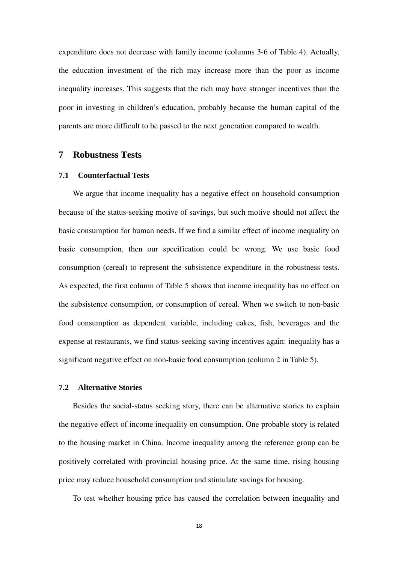expenditure does not decrease with family income (columns 3-6 of Table 4). Actually, the education investment of the rich may increase more than the poor as income inequality increases. This suggests that the rich may have stronger incentives than the poor in investing in children's education, probably because the human capital of the parents are more difficult to be passed to the next generation compared to wealth.

#### **7 Robustness Tests**

## **7.1 Counterfactual Tests**

We argue that income inequality has a negative effect on household consumption because of the status-seeking motive of savings, but such motive should not affect the basic consumption for human needs. If we find a similar effect of income inequality on basic consumption, then our specification could be wrong. We use basic food consumption (cereal) to represent the subsistence expenditure in the robustness tests. As expected, the first column of Table 5 shows that income inequality has no effect on the subsistence consumption, or consumption of cereal. When we switch to non-basic food consumption as dependent variable, including cakes, fish, beverages and the expense at restaurants, we find status-seeking saving incentives again: inequality has a significant negative effect on non-basic food consumption (column 2 in Table 5).

### **7.2 Alternative Stories**

Besides the social-status seeking story, there can be alternative stories to explain the negative effect of income inequality on consumption. One probable story is related to the housing market in China. Income inequality among the reference group can be positively correlated with provincial housing price. At the same time, rising housing price may reduce household consumption and stimulate savings for housing.

To test whether housing price has caused the correlation between inequality and

18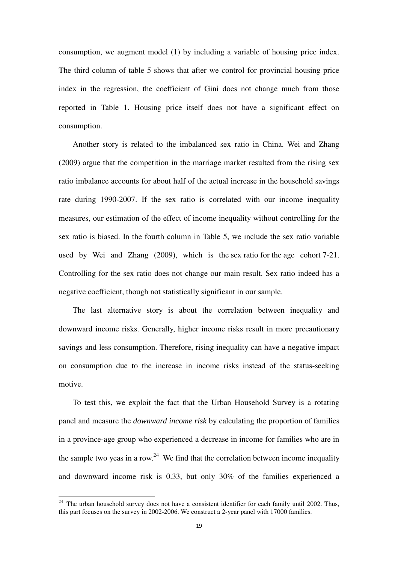consumption, we augment model (1) by including a variable of housing price index. The third column of table 5 shows that after we control for provincial housing price index in the regression, the coefficient of Gini does not change much from those reported in Table 1. Housing price itself does not have a significant effect on consumption.

Another story is related to the imbalanced sex ratio in China. Wei and Zhang (2009) argue that the competition in the marriage market resulted from the rising sex ratio imbalance accounts for about half of the actual increase in the household savings rate during 1990-2007. If the sex ratio is correlated with our income inequality measures, our estimation of the effect of income inequality without controlling for the sex ratio is biased. In the fourth column in Table 5, we include the sex ratio variable used by Wei and Zhang (2009), which is the sex ratio for the age cohort 7-21. Controlling for the sex ratio does not change our main result. Sex ratio indeed has a negative coefficient, though not statistically significant in our sample.

The last alternative story is about the correlation between inequality and downward income risks. Generally, higher income risks result in more precautionary savings and less consumption. Therefore, rising inequality can have a negative impact on consumption due to the increase in income risks instead of the status-seeking motive.

To test this, we exploit the fact that the Urban Household Survey is a rotating panel and measure the *downward income risk* by calculating the proportion of families in a province-age group who experienced a decrease in income for families who are in the sample two yeas in a row.<sup>24</sup> We find that the correlation between income inequality and downward income risk is 0.33, but only 30% of the families experienced a

l

 $24$  The urban household survey does not have a consistent identifier for each family until 2002. Thus, this part focuses on the survey in 2002-2006. We construct a 2-year panel with 17000 families.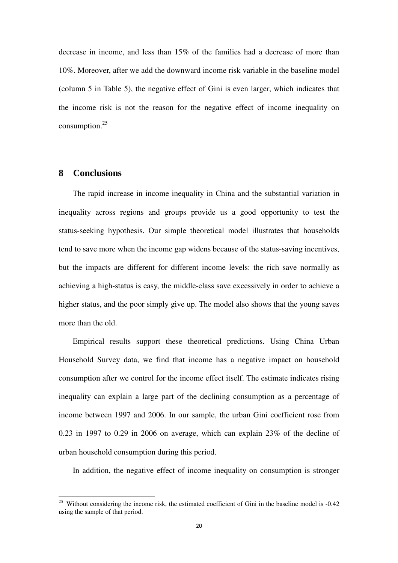decrease in income, and less than 15% of the families had a decrease of more than 10%. Moreover, after we add the downward income risk variable in the baseline model (column 5 in Table 5), the negative effect of Gini is even larger, which indicates that the income risk is not the reason for the negative effect of income inequality on consumption.<sup>25</sup>

## **8 Conclusions**

l

The rapid increase in income inequality in China and the substantial variation in inequality across regions and groups provide us a good opportunity to test the status-seeking hypothesis. Our simple theoretical model illustrates that households tend to save more when the income gap widens because of the status-saving incentives, but the impacts are different for different income levels: the rich save normally as achieving a high-status is easy, the middle-class save excessively in order to achieve a higher status, and the poor simply give up. The model also shows that the young saves more than the old.

Empirical results support these theoretical predictions. Using China Urban Household Survey data, we find that income has a negative impact on household consumption after we control for the income effect itself. The estimate indicates rising inequality can explain a large part of the declining consumption as a percentage of income between 1997 and 2006. In our sample, the urban Gini coefficient rose from 0.23 in 1997 to 0.29 in 2006 on average, which can explain 23% of the decline of urban household consumption during this period.

In addition, the negative effect of income inequality on consumption is stronger

 $25$  Without considering the income risk, the estimated coefficient of Gini in the baseline model is  $-0.42$ using the sample of that period.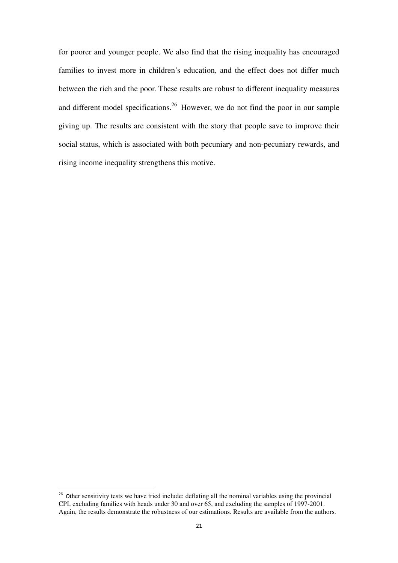for poorer and younger people. We also find that the rising inequality has encouraged families to invest more in children's education, and the effect does not differ much between the rich and the poor. These results are robust to different inequality measures and different model specifications.<sup>26</sup> However, we do not find the poor in our sample giving up. The results are consistent with the story that people save to improve their social status, which is associated with both pecuniary and non-pecuniary rewards, and rising income inequality strengthens this motive.

l

<sup>&</sup>lt;sup>26</sup> Other sensitivity tests we have tried include: deflating all the nominal variables using the provincial CPI, excluding families with heads under 30 and over 65, and excluding the samples of 1997-2001. Again, the results demonstrate the robustness of our estimations. Results are available from the authors.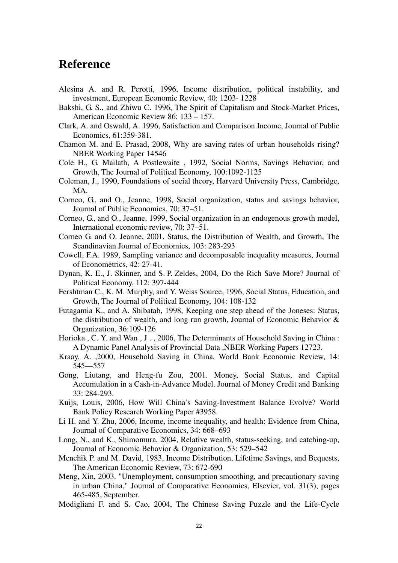## **Reference**

- Alesina A. and R. Perotti, 1996, Income distribution, political instability, and investment, European Economic Review, 40: 1203- 1228
- Bakshi, G. S., and Zhiwu C. 1996, The Spirit of Capitalism and Stock-Market Prices, American Economic Review 86: 133 – 157.
- Clark, A. and Oswald, A. 1996, Satisfaction and Comparison Income, Journal of Public Economics, 61:359-381.
- Chamon M. and E. Prasad, 2008, Why are saving rates of urban households rising? NBER Working Paper 14546
- Cole H., G. Mailath, A Postlewaite , 1992, Social Norms, Savings Behavior, and Growth, The Journal of Political Economy, 100:1092-1125
- Coleman, J., 1990, Foundations of social theory, Harvard University Press, Cambridge, MA.
- Corneo, G., and O., Jeanne, 1998, Social organization, status and savings behavior, Journal of Public Economics, 70: 37–51.
- Corneo, G., and O., Jeanne, 1999, Social organization in an endogenous growth model, International economic review, 70: 37–51.
- Corneo G. and O. Jeanne, 2001, Status, the Distribution of Wealth, and Growth, The Scandinavian Journal of Economics, 103: 283-293
- Cowell, F.A. 1989, Sampling variance and decomposable inequality measures, Journal of Econometrics, 42: 27-41.
- Dynan, K. E., J. Skinner, and S. P. Zeldes, 2004, Do the Rich Save More? Journal of Political Economy, 112: 397-444
- Fershtman C., K. M. Murphy, and Y. Weiss Source, 1996, Social Status, Education, and Growth, The Journal of Political Economy, 104: 108-132
- Futagamia K., and A. Shibatab, 1998, Keeping one step ahead of the Joneses: Status, the distribution of wealth, and long run growth, Journal of Economic Behavior & Organization, 36:109-126
- Horioka , C. Y. and Wan , J . , 2006, The Determinants of Household Saving in China : A Dynamic Panel Analysis of Provincial Data ,NBER Working Papers 12723.
- Kraay, A. ,2000, Household Saving in China, World Bank Economic Review, 14: 545—557
- Gong, Liutang, and Heng-fu Zou, 2001. Money, Social Status, and Capital Accumulation in a Cash-in-Advance Model. Journal of Money Credit and Banking 33: 284-293.
- Kuijs, Louis, 2006, How Will China's Saving-Investment Balance Evolve? World Bank Policy Research Working Paper #3958.
- Li H. and Y. Zhu, 2006, Income, income inequality, and health: Evidence from China, Journal of Comparative Economics, 34: 668–693
- Long, N., and K., Shimomura, 2004, Relative wealth, status-seeking, and catching-up, Journal of Economic Behavior & Organization, 53: 529–542
- Menchik P. and M. David, 1983, Income Distribution, Lifetime Savings, and Bequests, The American Economic Review, 73: 672-690
- Meng, Xin, 2003. "Unemployment, consumption smoothing, and precautionary saving in urban China," Journal of Comparative Economics, Elsevier, vol. 31(3), pages 465-485, September.
- Modigliani F. and S. Cao, 2004, The Chinese Saving Puzzle and the Life-Cycle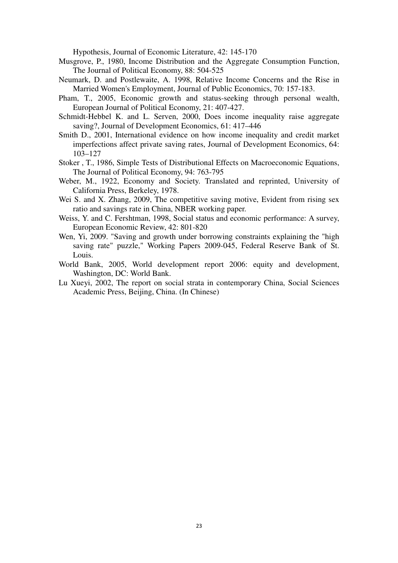Hypothesis, Journal of Economic Literature, 42: 145-170

- Musgrove, P., 1980, Income Distribution and the Aggregate Consumption Function, The Journal of Political Economy, 88: 504-525
- Neumark, D. and Postlewaite, A. 1998, Relative Income Concerns and the Rise in Married Women's Employment, Journal of Public Economics, 70: 157-183.
- Pham, T., 2005, Economic growth and status-seeking through personal wealth, European Journal of Political Economy, 21: 407-427.
- Schmidt-Hebbel K. and L. Serven, 2000, Does income inequality raise aggregate saving?, Journal of Development Economics, 61: 417–446
- Smith D., 2001, International evidence on how income inequality and credit market imperfections affect private saving rates, Journal of Development Economics, 64: 103–127
- Stoker , T., 1986, Simple Tests of Distributional Effects on Macroeconomic Equations, The Journal of Political Economy, 94: 763-795
- Weber, M., 1922, Economy and Society. Translated and reprinted, University of California Press, Berkeley, 1978.
- Wei S. and X. Zhang, 2009, The competitive saving motive, Evident from rising sex ratio and savings rate in China, NBER working paper.
- Weiss, Y. and C. Fershtman, 1998, Social status and economic performance: A survey, European Economic Review, 42: 801-820
- Wen, Yi, 2009. "Saving and growth under borrowing constraints explaining the "high saving rate" puzzle," Working Papers 2009-045, Federal Reserve Bank of St. Louis.
- World Bank, 2005, World development report 2006: equity and development, Washington, DC: World Bank.
- Lu Xueyi, 2002, The report on social strata in contemporary China, Social Sciences Academic Press, Beijing, China. (In Chinese)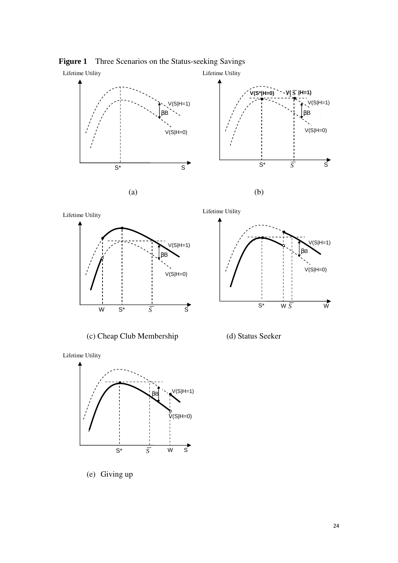

**Figure 1** Three Scenarios on the Status-seeking Savings

Lifetime Utility



(c) Cheap Club Membership (d) Status Seeker



S\* *S* W W

 $\overrightarrow{s}$ 



Lifetime Utility



(e) Giving up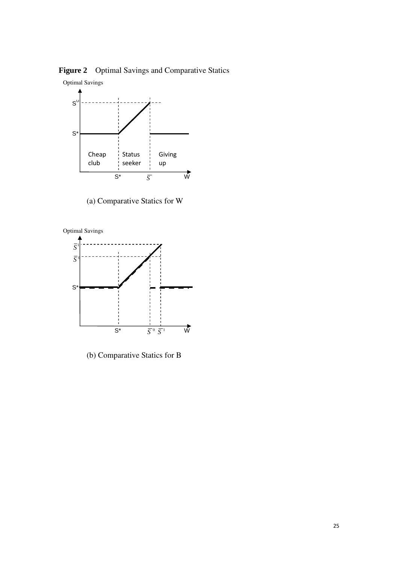Figure 2 Optimal Savings and Comparative Statics



(a) Comparative Statics for W



(b) Comparative Statics for B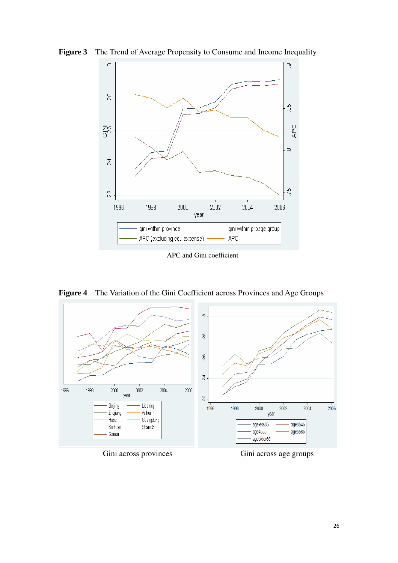

**Figure 3** The Trend of Average Propensity to Consume and Income Inequality

APC and Gini coefficient

**Figure 4** The Variation of the Gini Coefficient across Provinces and Age Groups



Gini across provinces Gini across age groups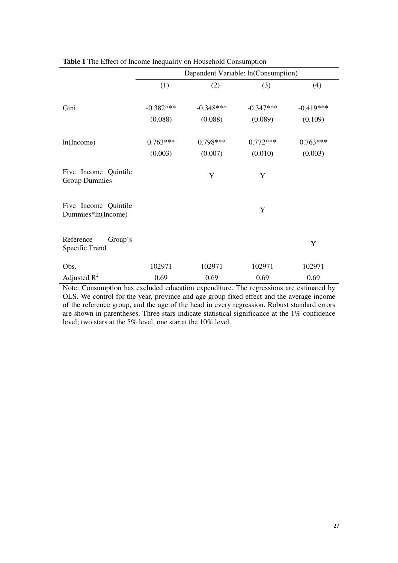|                                              | Dependent Variable: ln(Consumption) |             |             |             |  |
|----------------------------------------------|-------------------------------------|-------------|-------------|-------------|--|
|                                              | (1)                                 | (2)         | (3)         | (4)         |  |
| Gini                                         | $-0.382***$                         | $-0.348***$ | $-0.347***$ | $-0.419***$ |  |
|                                              | (0.088)                             | (0.088)     | (0.089)     | (0.109)     |  |
| ln(Income)                                   | $0.763***$                          | $0.798***$  | $0.772***$  | $0.763***$  |  |
|                                              | (0.003)                             | (0.007)     | (0.010)     | (0.003)     |  |
| Five Income Quintile<br><b>Group Dummies</b> |                                     | Y           | Y           |             |  |
| Five Income Quintile<br>Dummies*ln(Income)   |                                     |             | Y           |             |  |
| Reference<br>Group's<br>Specific Trend       |                                     |             |             | Y           |  |
| Obs.                                         | 102971                              | 102971      | 102971      | 102971      |  |
| Adjusted $R^2$                               | 0.69                                | 0.69        | 0.69        | 0.69        |  |

**Table 1** The Effect of Income Inequality on Household Consumption

Note: Consumption has excluded education expenditure. The regressions are estimated by OLS. We control for the year, province and age group fixed effect and the average income of the reference group, and the age of the head in every regression. Robust standard errors are shown in parentheses. Three stars indicate statistical significance at the 1% confidence level; two stars at the 5% level, one star at the 10% level.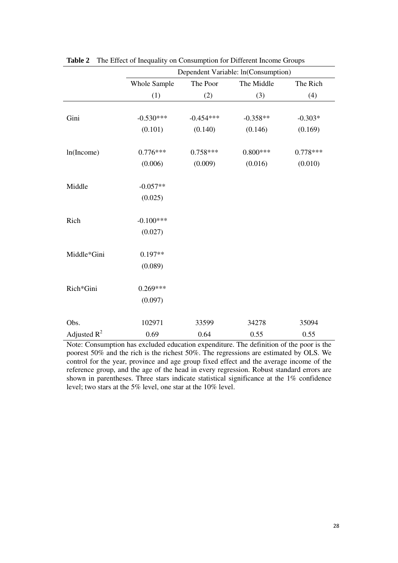|                | Dependent Variable: ln(Consumption) |             |            |            |  |
|----------------|-------------------------------------|-------------|------------|------------|--|
|                | <b>Whole Sample</b>                 | The Poor    | The Middle | The Rich   |  |
|                | (1)                                 | (2)         | (3)        | (4)        |  |
|                |                                     |             |            |            |  |
| Gini           | $-0.530***$                         | $-0.454***$ | $-0.358**$ | $-0.303*$  |  |
|                | (0.101)                             | (0.140)     | (0.146)    | (0.169)    |  |
| ln(Income)     | $0.776***$                          | $0.758***$  | $0.800***$ | $0.778***$ |  |
|                | (0.006)                             | (0.009)     | (0.016)    | (0.010)    |  |
| Middle         | $-0.057**$                          |             |            |            |  |
|                | (0.025)                             |             |            |            |  |
| Rich           | $-0.100***$                         |             |            |            |  |
|                | (0.027)                             |             |            |            |  |
| Middle*Gini    | $0.197**$                           |             |            |            |  |
|                | (0.089)                             |             |            |            |  |
| Rich*Gini      | $0.269***$                          |             |            |            |  |
|                | (0.097)                             |             |            |            |  |
| Obs.           | 102971                              | 33599       | 34278      | 35094      |  |
| Adjusted $R^2$ | 0.69                                | 0.64        | 0.55       | 0.55       |  |

**Table 2** The Effect of Inequality on Consumption for Different Income Groups

Note: Consumption has excluded education expenditure. The definition of the poor is the poorest 50% and the rich is the richest 50%. The regressions are estimated by OLS. We control for the year, province and age group fixed effect and the average income of the reference group, and the age of the head in every regression. Robust standard errors are shown in parentheses. Three stars indicate statistical significance at the 1% confidence level; two stars at the 5% level, one star at the 10% level.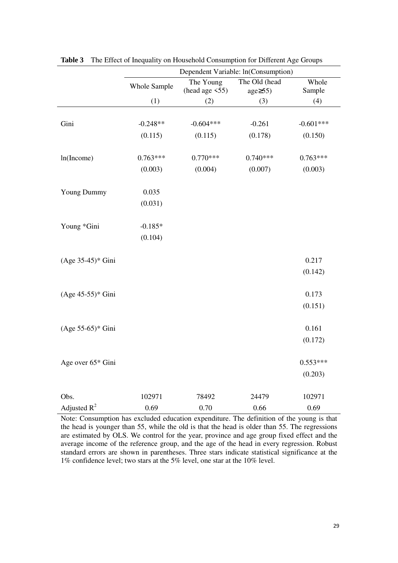|                     | Dependent Variable: ln(Consumption) |                                   |                               |                 |  |
|---------------------|-------------------------------------|-----------------------------------|-------------------------------|-----------------|--|
|                     | Whole Sample                        | The Young<br>(head age $\leq$ 55) | The Old (head<br>$age\geq55)$ | Whole<br>Sample |  |
|                     | (1)                                 | (2)                               | (3)                           | (4)             |  |
|                     |                                     |                                   |                               |                 |  |
| Gini                | $-0.248**$                          | $-0.604***$                       | $-0.261$                      | $-0.601***$     |  |
|                     | (0.115)                             | (0.115)                           | (0.178)                       | (0.150)         |  |
|                     |                                     |                                   |                               |                 |  |
| ln(Income)          | $0.763***$                          | $0.770***$                        | $0.740***$                    | $0.763***$      |  |
|                     | (0.003)                             | (0.004)                           | (0.007)                       | (0.003)         |  |
|                     |                                     |                                   |                               |                 |  |
| <b>Young Dummy</b>  | 0.035                               |                                   |                               |                 |  |
|                     | (0.031)                             |                                   |                               |                 |  |
|                     |                                     |                                   |                               |                 |  |
| Young *Gini         | $-0.185*$                           |                                   |                               |                 |  |
|                     | (0.104)                             |                                   |                               |                 |  |
|                     |                                     |                                   |                               | 0.217           |  |
| (Age 35-45)* Gini   |                                     |                                   |                               |                 |  |
|                     |                                     |                                   |                               | (0.142)         |  |
| (Age 45-55)* Gini   |                                     |                                   |                               | 0.173           |  |
|                     |                                     |                                   |                               | (0.151)         |  |
|                     |                                     |                                   |                               |                 |  |
| $(Age 55-65)*$ Gini |                                     |                                   |                               | 0.161           |  |
|                     |                                     |                                   |                               | (0.172)         |  |
|                     |                                     |                                   |                               |                 |  |
| Age over 65* Gini   |                                     |                                   |                               | $0.553***$      |  |
|                     |                                     |                                   |                               | (0.203)         |  |
|                     |                                     |                                   |                               |                 |  |
| Obs.                | 102971                              | 78492                             | 24479                         | 102971          |  |
| Adjusted $R^2$      | 0.69                                | 0.70                              | 0.66                          | 0.69            |  |

**Table 3** The Effect of Inequality on Household Consumption for Different Age Groups

Note: Consumption has excluded education expenditure. The definition of the young is that the head is younger than 55, while the old is that the head is older than 55. The regressions are estimated by OLS. We control for the year, province and age group fixed effect and the average income of the reference group, and the age of the head in every regression. Robust standard errors are shown in parentheses. Three stars indicate statistical significance at the 1% confidence level; two stars at the 5% level, one star at the 10% level.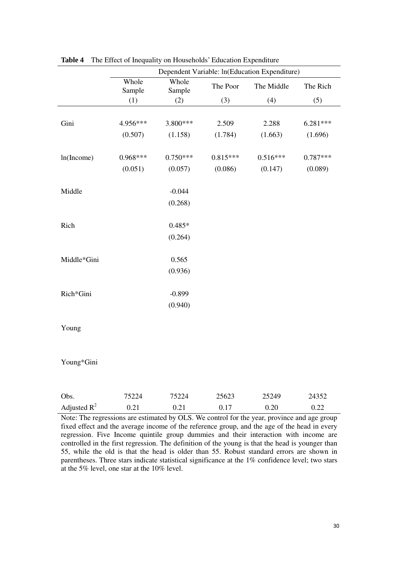|                                                                                             | Dependent Variable: ln(Education Expenditure) |                 |            |            |            |  |
|---------------------------------------------------------------------------------------------|-----------------------------------------------|-----------------|------------|------------|------------|--|
|                                                                                             | Whole<br>Sample                               | Whole<br>Sample | The Poor   | The Middle | The Rich   |  |
|                                                                                             | (1)                                           | (2)             | (3)        | (4)        | (5)        |  |
|                                                                                             |                                               |                 |            |            |            |  |
| Gini                                                                                        | 4.956***                                      | 3.800***        | 2.509      | 2.288      | 6.281***   |  |
|                                                                                             | (0.507)                                       | (1.158)         | (1.784)    | (1.663)    | (1.696)    |  |
|                                                                                             |                                               |                 |            |            |            |  |
| ln(Income)                                                                                  | $0.968***$                                    | $0.750***$      | $0.815***$ | $0.516***$ | $0.787***$ |  |
|                                                                                             | (0.051)                                       | (0.057)         | (0.086)    | (0.147)    | (0.089)    |  |
|                                                                                             |                                               |                 |            |            |            |  |
| Middle                                                                                      |                                               | $-0.044$        |            |            |            |  |
|                                                                                             |                                               | (0.268)         |            |            |            |  |
|                                                                                             |                                               |                 |            |            |            |  |
| Rich                                                                                        |                                               | $0.485*$        |            |            |            |  |
|                                                                                             |                                               | (0.264)         |            |            |            |  |
|                                                                                             |                                               |                 |            |            |            |  |
| Middle*Gini                                                                                 |                                               | 0.565           |            |            |            |  |
|                                                                                             |                                               | (0.936)         |            |            |            |  |
|                                                                                             |                                               |                 |            |            |            |  |
| Rich*Gini                                                                                   |                                               | $-0.899$        |            |            |            |  |
|                                                                                             |                                               | (0.940)         |            |            |            |  |
|                                                                                             |                                               |                 |            |            |            |  |
| Young                                                                                       |                                               |                 |            |            |            |  |
|                                                                                             |                                               |                 |            |            |            |  |
|                                                                                             |                                               |                 |            |            |            |  |
| Young*Gini                                                                                  |                                               |                 |            |            |            |  |
|                                                                                             |                                               |                 |            |            |            |  |
| Obs.                                                                                        | 75224                                         | 75224           | 25623      | 25249      | 24352      |  |
| Adjusted $R^2$                                                                              | 0.21                                          | 0.21            | 0.17       | 0.20       | 0.22       |  |
| Note: The regressions are estimated by OLS. We control for the year, province and age group |                                               |                 |            |            |            |  |

**Table 4** The Effect of Inequality on Households' Education Expenditure

Note: The regressions are estimated by OLS. We control for the year, province and age group fixed effect and the average income of the reference group, and the age of the head in every regression. Five Income quintile group dummies and their interaction with income are controlled in the first regression. The definition of the young is that the head is younger than 55, while the old is that the head is older than 55. Robust standard errors are shown in parentheses. Three stars indicate statistical significance at the 1% confidence level; two stars at the 5% level, one star at the 10% level.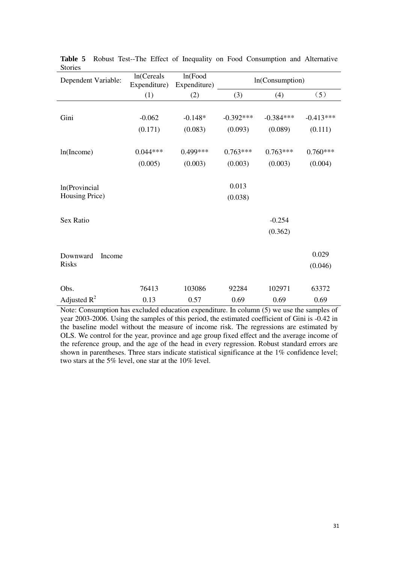| Dependent Variable: | ln(Cereals<br>Expenditure) | ln(Food)<br>Expenditure) | In(Consumption) |             |             |
|---------------------|----------------------------|--------------------------|-----------------|-------------|-------------|
|                     | (1)                        | (2)                      | (3)             | (4)         | (5)         |
|                     |                            |                          |                 |             |             |
| Gini                | $-0.062$                   | $-0.148*$                | $-0.392***$     | $-0.384***$ | $-0.413***$ |
|                     | (0.171)                    | (0.083)                  | (0.093)         | (0.089)     | (0.111)     |
|                     |                            |                          |                 |             |             |
| ln(Income)          | $0.044***$                 | $0.499***$               | $0.763***$      | $0.763***$  | $0.760***$  |
|                     | (0.005)                    | (0.003)                  | (0.003)         | (0.003)     | (0.004)     |
|                     |                            |                          |                 |             |             |
| In(Provincial       |                            |                          | 0.013           |             |             |
| Housing Price)      |                            |                          | (0.038)         |             |             |
|                     |                            |                          |                 |             |             |
| Sex Ratio           |                            |                          |                 | $-0.254$    |             |
|                     |                            |                          |                 | (0.362)     |             |
|                     |                            |                          |                 |             |             |
| Downward<br>Income  |                            |                          |                 |             | 0.029       |
| <b>Risks</b>        |                            |                          |                 |             | (0.046)     |
|                     |                            |                          |                 |             |             |
| Obs.                | 76413                      | 103086                   | 92284           | 102971      | 63372       |
| Adjusted $R^2$      | 0.13                       | 0.57                     | 0.69            | 0.69        | 0.69        |

**Table 5** Robust Test--The Effect of Inequality on Food Consumption and Alternative Stories

Note: Consumption has excluded education expenditure. In column (5) we use the samples of year 2003-2006. Using the samples of this period, the estimated coefficient of Gini is -0.42 in the baseline model without the measure of income risk. The regressions are estimated by OLS. We control for the year, province and age group fixed effect and the average income of the reference group, and the age of the head in every regression. Robust standard errors are shown in parentheses. Three stars indicate statistical significance at the 1% confidence level; two stars at the 5% level, one star at the 10% level.